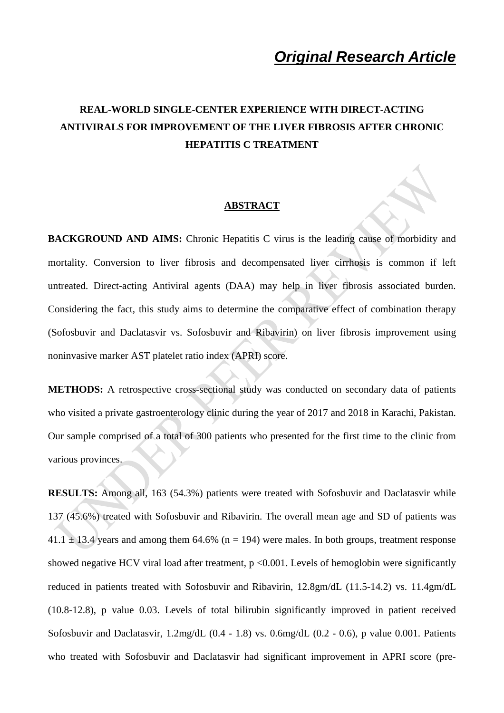# **REAL-WORLD SINGLE-CENTER EXPERIENCE WITH DIRECT-ACTING ANTIVIRALS FOR IMPROVEMENT OF THE LIVER FIBROSIS AFTER CHRONIC HEPATITIS C TREATMENT**

#### **ABSTRACT**

**BACKGROUND AND AIMS:** Chronic Hepatitis C virus is the leading cause of morbidity and mortality. Conversion to liver fibrosis and decompensated liver cirrhosis is common if left untreated. Direct-acting Antiviral agents (DAA) may help in liver fibrosis associated burden. Considering the fact, this study aims to determine the comparative effect of combination therapy (Sofosbuvir and Daclatasvir vs. Sofosbuvir and Ribavirin) on liver fibrosis improvement using noninvasive marker AST platelet ratio index (APRI) score.

**METHODS:** A retrospective cross-sectional study was conducted on secondary data of patients who visited a private gastroenterology clinic during the year of 2017 and 2018 in Karachi, Pakistan. Our sample comprised of a total of 300 patients who presented for the first time to the clinic from various provinces.

**RESULTS:** Among all, 163 (54.3%) patients were treated with Sofosbuvir and Daclatasvir while 137 (45.6%) treated with Sofosbuvir and Ribavirin. The overall mean age and SD of patients was  $41.1 \pm 13.4$  years and among them 64.6% (n = 194) were males. In both groups, treatment response showed negative HCV viral load after treatment,  $p \le 0.001$ . Levels of hemoglobin were significantly reduced in patients treated with Sofosbuvir and Ribavirin, 12.8gm/dL (11.5-14.2) vs. 11.4gm/dL (10.8-12.8), p value 0.03. Levels of total bilirubin significantly improved in patient received Sofosbuvir and Daclatasvir, 1.2mg/dL (0.4 - 1.8) vs. 0.6mg/dL (0.2 - 0.6), p value 0.001. Patients who treated with Sofosbuvir and Daclatasvir had significant improvement in APRI score (pre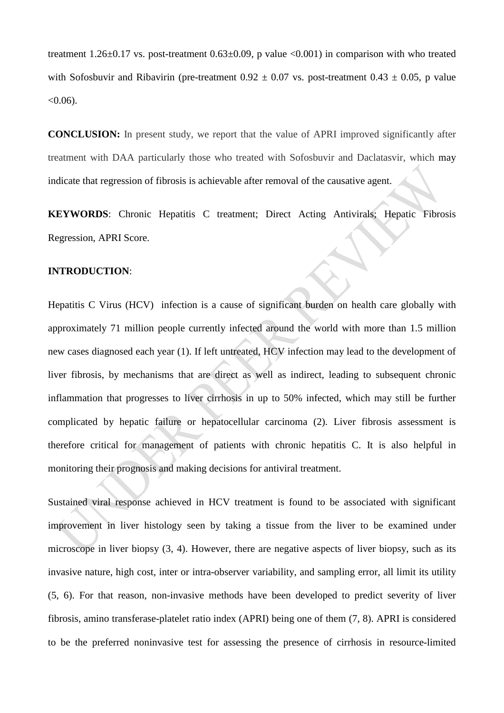treatment 1.26±0.17 vs. post-treatment 0.63±0.09, p value <0.001) in comparison with who treated with Sofosbuvir and Ribavirin (pre-treatment  $0.92 \pm 0.07$  vs. post-treatment  $0.43 \pm 0.05$ , p value  $< 0.06$ ).

**CONCLUSION:** In present study, we report that the value of APRI improved significantly after treatment with DAA particularly those who treated with Sofosbuvir and Daclatasvir, which may indicate that regression of fibrosis is achievable after removal of the causative agent.

**KEYWORDS**: Chronic Hepatitis C treatment; Direct Acting Antivirals; Hepatic Fibrosis Regression, APRI Score.

#### **INTRODUCTION**:

Hepatitis C Virus (HCV) infection is a cause of significant burden on health care globally with approximately 71 million people currently infected around the world with more than 1.5 million new cases diagnosed each year (1). If left untreated, HCV infection may lead to the development of liver fibrosis, by mechanisms that are direct as well as indirect, leading to subsequent chronic inflammation that progresses to liver cirrhosis in up to 50% infected, which may still be further complicated by hepatic failure or hepatocellular carcinoma (2). Liver fibrosis assessment is therefore critical for management of patients with chronic hepatitis C. It is also helpful in monitoring their prognosis and making decisions for antiviral treatment.

Sustained viral response achieved in HCV treatment is found to be associated with significant improvement in liver histology seen by taking a tissue from the liver to be examined under microscope in liver biopsy (3, 4). However, there are negative aspects of liver biopsy, such as its invasive nature, high cost, inter or intra-observer variability, and sampling error, all limit its utility (5, 6). For that reason, non-invasive methods have been developed to predict severity of liver fibrosis, amino transferase-platelet ratio index (APRI) being one of them (7, 8). APRI is considered to be the preferred noninvasive test for assessing the presence of cirrhosis in resource-limited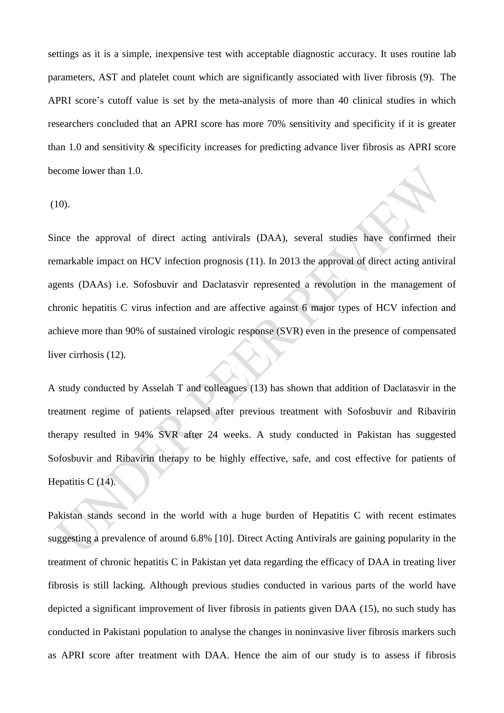settings as it is a simple, inexpensive test with acceptable diagnostic accuracy. It uses routine lab parameters, AST and platelet count which are significantly associated with liver fibrosis (9). The APRI score's cutoff value is set by the meta-analysis of more than 40 clinical studies in which researchers concluded that an APRI score has more 70% sensitivity and specificity if it is greater than 1.0 and sensitivity & specificity increases for predicting advance liver fibrosis as APRI score become lower than 1.0.

(10).

Since the approval of direct acting antivirals (DAA), several studies have confirmed their remarkable impact on HCV infection prognosis (11). In 2013 the approval of direct acting antiviral agents (DAAs) i.e. Sofosbuvir and Daclatasvir represented a revolution in the management of chronic hepatitis C virus infection and are affective against 6 major types of HCV infection and achieve more than 90% of sustained virologic response (SVR) even in the presence of compensated liver cirrhosis (12).

A study conducted by Asselah T and colleagues (13) has shown that addition of Daclatasvir in the treatment regime of patients relapsed after previous treatment with Sofosbuvir and Ribavirin therapy resulted in 94% SVR after 24 weeks. A study conducted in Pakistan has suggested Sofosbuvir and Ribavirin therapy to be highly effective, safe, and cost effective for patients of Hepatitis C (14).

Pakistan stands second in the world with a huge burden of Hepatitis C with recent estimates suggesting a prevalence of around 6.8% [10]. Direct Acting Antivirals are gaining popularity in the treatment of chronic hepatitis C in Pakistan yet data regarding the efficacy of DAA in treating liver fibrosis is still lacking. Although previous studies conducted in various parts of the world have depicted a significant improvement of liver fibrosis in patients given DAA (15), no such study has conducted in Pakistani population to analyse the changes in noninvasive liver fibrosis markers such as APRI score after treatment with DAA. Hence the aim of our study is to assess if fibrosis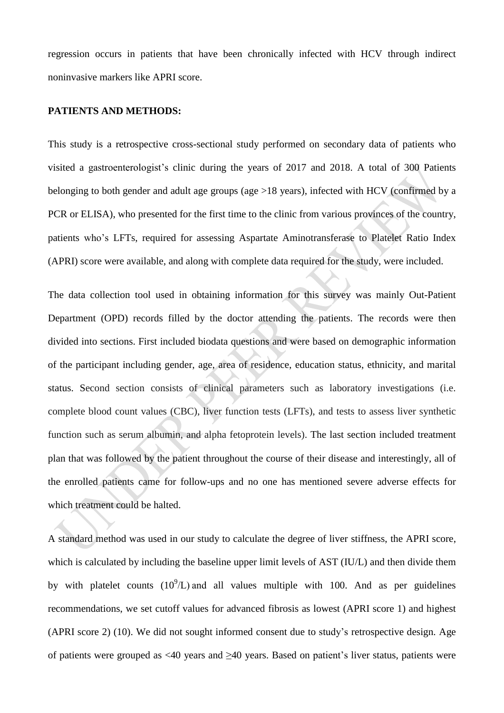regression occurs in patients that have been chronically infected with HCV through indirect noninvasive markers like APRI score.

### **PATIENTS AND METHODS:**

This study is a retrospective cross-sectional study performed on secondary data of patients who visited a gastroenterologist's clinic during the years of 2017 and 2018. A total of 300 Patients belonging to both gender and adult age groups (age >18 years), infected with HCV (confirmed by a PCR or ELISA), who presented for the first time to the clinic from various provinces of the country, patients who's LFTs, required for assessing Aspartate Aminotransferase to Platelet Ratio Index (APRI) score were available, and along with complete data required for the study, were included.

The data collection tool used in obtaining information for this survey was mainly Out-Patient Department (OPD) records filled by the doctor attending the patients. The records were then divided into sections. First included biodata questions and were based on demographic information of the participant including gender, age, area of residence, education status, ethnicity, and marital status. Second section consists of clinical parameters such as laboratory investigations (i.e. complete blood count values (CBC), liver function tests (LFTs), and tests to assess liver synthetic function such as serum albumin, and alpha fetoprotein levels). The last section included treatment plan that was followed by the patient throughout the course of their disease and interestingly, all of the enrolled patients came for follow-ups and no one has mentioned severe adverse effects for which treatment could be halted.

A standard method was used in our study to calculate the degree of liver stiffness, the APRI score, which is calculated by including the baseline upper limit levels of AST (IU/L) and then divide them by with platelet counts  $(10^9/L)$  and all values multiple with 100. And as per guidelines recommendations, we set cutoff values for advanced fibrosis as lowest (APRI score 1) and highest (APRI score 2) (10). We did not sought informed consent due to study's retrospective design. Age of patients were grouped as <40 years and ≥40 years. Based on patient's liver status, patients were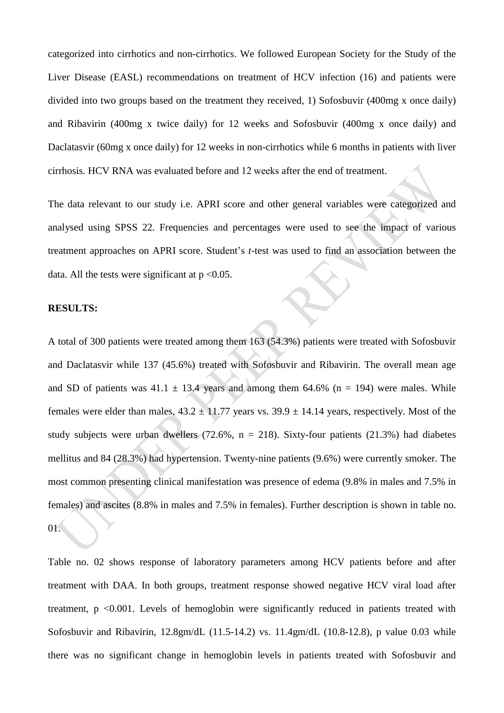categorized into cirrhotics and non-cirrhotics. We followed European Society for the Study of the Liver Disease (EASL) recommendations on treatment of HCV infection (16) and patients were divided into two groups based on the treatment they received, 1) Sofosbuvir (400mg x once daily) and Ribavirin (400mg x twice daily) for 12 weeks and Sofosbuvir (400mg x once daily) and Daclatasvir (60mg x once daily) for 12 weeks in non-cirrhotics while 6 months in patients with liver cirrhosis. HCV RNA was evaluated before and 12 weeks after the end of treatment.

The data relevant to our study i.e. APRI score and other general variables were categorized and analysed using SPSS 22. Frequencies and percentages were used to see the impact of various treatment approaches on APRI score. Student's *t*-test was used to find an association between the data. All the tests were significant at  $p \le 0.05$ .

#### **RESULTS:**

A total of 300 patients were treated among them 163 (54.3%) patients were treated with Sofosbuvir and Daclatasvir while 137 (45.6%) treated with Sofosbuvir and Ribavirin. The overall mean age and SD of patients was  $41.1 \pm 13.4$  years and among them 64.6% (n = 194) were males. While females were elder than males,  $43.2 \pm 11.77$  years vs.  $39.9 \pm 14.14$  years, respectively. Most of the study subjects were urban dwellers  $(72.6\%, n = 218)$ . Sixty-four patients  $(21.3\%)$  had diabetes mellitus and 84 (28.3%) had hypertension. Twenty-nine patients (9.6%) were currently smoker. The most common presenting clinical manifestation was presence of edema (9.8% in males and 7.5% in females) and ascites (8.8% in males and 7.5% in females). Further description is shown in table no. 01.

Table no. 02 shows response of laboratory parameters among HCV patients before and after treatment with DAA. In both groups, treatment response showed negative HCV viral load after treatment, p <0.001. Levels of hemoglobin were significantly reduced in patients treated with Sofosbuvir and Ribavirin, 12.8gm/dL (11.5-14.2) vs. 11.4gm/dL (10.8-12.8), p value 0.03 while there was no significant change in hemoglobin levels in patients treated with Sofosbuvir and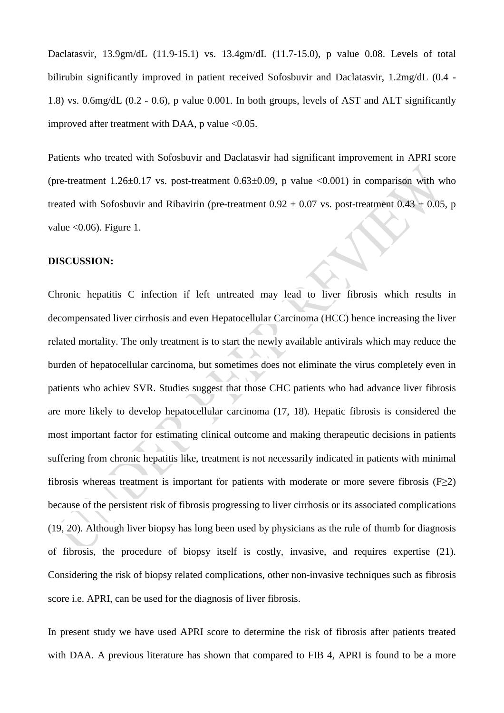Daclatasvir, 13.9gm/dL (11.9-15.1) vs. 13.4gm/dL (11.7-15.0), p value 0.08. Levels of total bilirubin significantly improved in patient received Sofosbuvir and Daclatasvir, 1.2mg/dL (0.4 - 1.8) vs. 0.6mg/dL (0.2 - 0.6), p value 0.001. In both groups, levels of AST and ALT significantly improved after treatment with DAA,  $p$  value <0.05.

Patients who treated with Sofosbuvir and Daclatasvir had significant improvement in APRI score (pre-treatment  $1.26 \pm 0.17$  vs. post-treatment  $0.63 \pm 0.09$ , p value  $\langle 0.001 \rangle$  in comparison with who treated with Sofosbuvir and Ribavirin (pre-treatment  $0.92 \pm 0.07$  vs. post-treatment  $0.43 \pm 0.05$ , p value  $< 0.06$ ). Figure 1.

#### **DISCUSSION:**

Chronic hepatitis C infection if left untreated may lead to liver fibrosis which results in decompensated liver cirrhosis and even Hepatocellular Carcinoma (HCC) hence increasing the liver related mortality. The only treatment is to start the newly available antivirals which may reduce the burden of hepatocellular carcinoma, but sometimes does not eliminate the virus completely even in patients who achiev SVR. Studies suggest that those CHC patients who had advance liver fibrosis are more likely to develop hepatocellular carcinoma (17, 18). Hepatic fibrosis is considered the most important factor for estimating clinical outcome and making therapeutic decisions in patients suffering from chronic hepatitis like, treatment is not necessarily indicated in patients with minimal fibrosis whereas treatment is important for patients with moderate or more severe fibrosis  $(F \geq 2)$ because of the persistent risk of fibrosis progressing to liver cirrhosis or its associated complications (19, 20). Although liver biopsy has long been used by physicians as the rule of thumb for diagnosis of fibrosis, the procedure of biopsy itself is costly, invasive, and requires expertise (21). Considering the risk of biopsy related complications, other non-invasive techniques such as fibrosis score i.e. APRI, can be used for the diagnosis of liver fibrosis.

In present study we have used APRI score to determine the risk of fibrosis after patients treated with DAA. A previous literature has shown that compared to FIB 4, APRI is found to be a more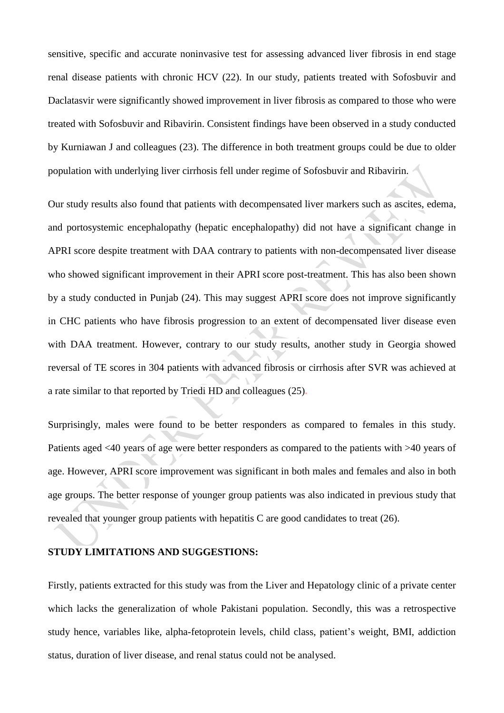sensitive, specific and accurate noninvasive test for assessing advanced liver fibrosis in end stage renal disease patients with chronic HCV (22). In our study, patients treated with Sofosbuvir and Daclatasvir were significantly showed improvement in liver fibrosis as compared to those who were treated with Sofosbuvir and Ribavirin. Consistent findings have been observed in a study conducted by Kurniawan J and colleagues (23). The difference in both treatment groups could be due to older population with underlying liver cirrhosis fell under regime of Sofosbuvir and Ribavirin.

Our study results also found that patients with decompensated liver markers such as ascites, edema, and portosystemic encephalopathy (hepatic encephalopathy) did not have a significant change in APRI score despite treatment with DAA contrary to patients with non-decompensated liver disease who showed significant improvement in their APRI score post-treatment. This has also been shown by a study conducted in Punjab (24). This may suggest APRI score does not improve significantly in CHC patients who have fibrosis progression to an extent of decompensated liver disease even with DAA treatment. However, contrary to our study results, another study in Georgia showed reversal of TE scores in 304 patients with advanced fibrosis or cirrhosis after SVR was achieved at a rate similar to that reported by Triedi HD and colleagues (25)**.**

Surprisingly, males were found to be better responders as compared to females in this study. Patients aged <40 years of age were better responders as compared to the patients with >40 years of age. However, APRI score improvement was significant in both males and females and also in both age groups. The better response of younger group patients was also indicated in previous study that revealed that younger group patients with hepatitis C are good candidates to treat (26).

#### **STUDY LIMITATIONS AND SUGGESTIONS:**

Firstly, patients extracted for this study was from the Liver and Hepatology clinic of a private center which lacks the generalization of whole Pakistani population. Secondly, this was a retrospective study hence, variables like, alpha-fetoprotein levels, child class, patient's weight, BMI, addiction status, duration of liver disease, and renal status could not be analysed.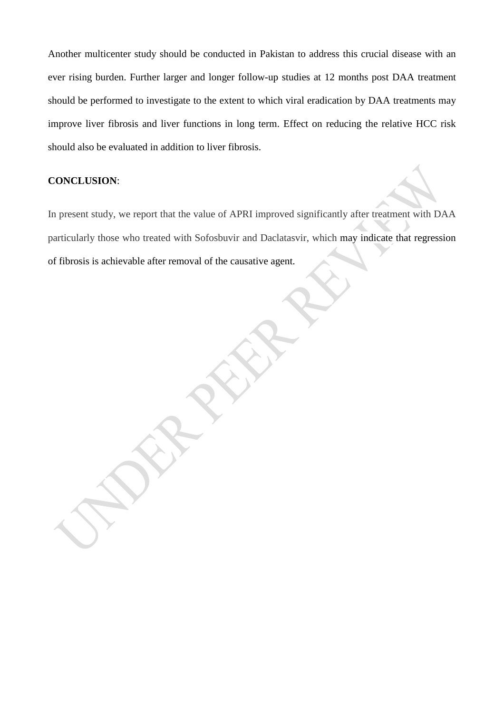Another multicenter study should be conducted in Pakistan to address this crucial disease with an ever rising burden. Further larger and longer follow-up studies at 12 months post DAA treatment should be performed to investigate to the extent to which viral eradication by DAA treatments may improve liver fibrosis and liver functions in long term. Effect on reducing the relative HCC risk should also be evaluated in addition to liver fibrosis.

### **CONCLUSION**:

In present study, we report that the value of APRI improved significantly after treatment with DAA particularly those who treated with Sofosbuvir and Daclatasvir, which may indicate that regression of fibrosis is achievable after removal of the causative agent.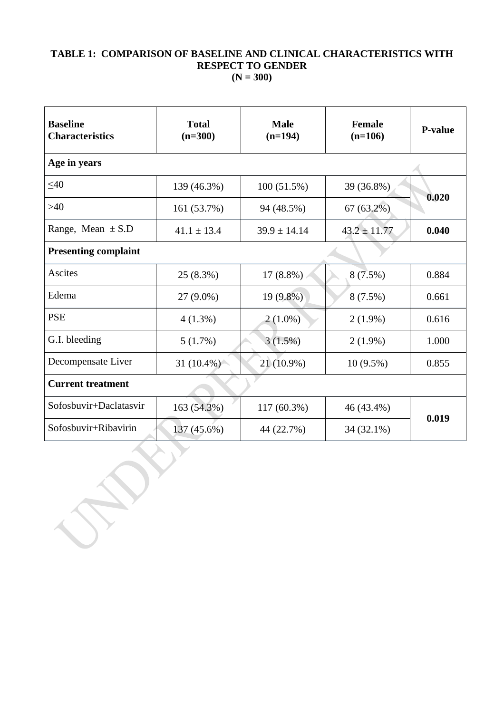## **TABLE 1: COMPARISON OF BASELINE AND CLINICAL CHARACTERISTICS WITH RESPECT TO GENDER (N = 300)**

| <b>Baseline</b><br><b>Characteristics</b> | <b>Total</b><br>$(n=300)$ | <b>Male</b><br>$(n=194)$ | <b>Female</b><br>$(n=106)$ | <b>P-value</b> |  |  |  |  |  |
|-------------------------------------------|---------------------------|--------------------------|----------------------------|----------------|--|--|--|--|--|
| Age in years                              |                           |                          |                            |                |  |  |  |  |  |
| $<$ 40                                    | 139 (46.3%)               | $100(51.5\%)$            | 39 (36.8%)                 | 0.020          |  |  |  |  |  |
| $>40$                                     | 161 (53.7%)               | 94 (48.5%)               | $67(63.2\%)$               |                |  |  |  |  |  |
| Range, Mean $\pm$ S.D                     | $41.1 \pm 13.4$           | $39.9 \pm 14.14$         | $43.2 \pm 11.77$           | 0.040          |  |  |  |  |  |
| <b>Presenting complaint</b>               |                           |                          |                            |                |  |  |  |  |  |
| <b>Ascites</b>                            | 25(8.3%)                  | $17(8.8\%)$              | 8(7.5%)                    | 0.884          |  |  |  |  |  |
| Edema                                     | 27 (9.0%)                 | $19(9.8\%)$              | $8(7.5\%)$                 | 0.661          |  |  |  |  |  |
| <b>PSE</b>                                | $4(1.3\%)$                | $2(1.0\%)$               | $2(1.9\%)$                 | 0.616          |  |  |  |  |  |
| G.I. bleeding                             | 5(1.7%)                   | 3(1.5%)                  | $2(1.9\%)$                 | 1.000          |  |  |  |  |  |
| Decompensate Liver                        | 31 $(10.4\%)$             | 21 (10.9%)               | $10(9.5\%)$                | 0.855          |  |  |  |  |  |
| <b>Current treatment</b>                  |                           |                          |                            |                |  |  |  |  |  |
| Sofosbuvir+Daclatasvir                    | 163 (54.3%)               | $117(60.3\%)$            | 46 (43.4%)                 | 0.019          |  |  |  |  |  |
| Sofosbuvir+Ribavirin                      | 137 (45.6%)               | 44 (22.7%)               | 34 (32.1%)                 |                |  |  |  |  |  |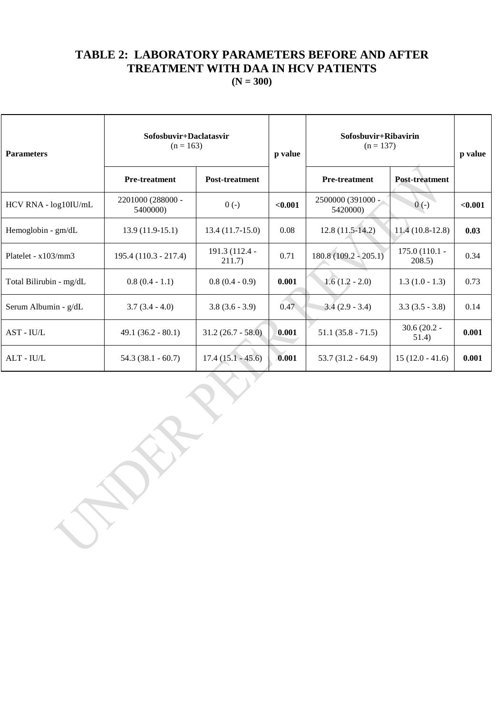## **TABLE 2: LABORATORY PARAMETERS BEFORE AND AFTER TREATMENT WITH DAA IN HCV PATIENTS**

**(N = 300)**

| <b>Parameters</b>       | Sofosbuvir+Daclatasvir<br>$(n = 163)$ |                          | p value | Sofosbuvir+Ribavirin<br>$(n = 137)$ |                          | p value |
|-------------------------|---------------------------------------|--------------------------|---------|-------------------------------------|--------------------------|---------|
|                         | <b>Pre-treatment</b>                  | <b>Post-treatment</b>    |         | <b>Pre-treatment</b>                | <b>Post-treatment</b>    |         |
| HCV RNA - log10IU/mL    | 2201000 (288000 -<br>5400000)         | $0(-)$                   | < 0.001 | 2500000 (391000 -<br>5420000)       | $0(-)$                   | < 0.001 |
| Hemoglobin - gm/dL      | $13.9(11.9-15.1)$                     | $13.4(11.7-15.0)$        | 0.08    | $12.8(11.5-14.2)$                   | $11.4(10.8-12.8)$        | 0.03    |
| Platelet - $x103/mm3$   | $195.4(110.3 - 217.4)$                | 191.3 (112.4 -<br>211.7) | 0.71    | $180.8(109.2 - 205.1)$              | 175.0 (110.1 -<br>208.5) | 0.34    |
| Total Bilirubin - mg/dL | $0.8(0.4 - 1.1)$                      | $0.8(0.4-0.9)$           | 0.001   | $1.6(1.2 - 2.0)$                    | $1.3(1.0 - 1.3)$         | 0.73    |
| Serum Albumin - g/dL    | $3.7(3.4 - 4.0)$                      | $3.8(3.6 - 3.9)$         | 0.47    | $3.4(2.9 - 3.4)$                    | $3.3(3.5 - 3.8)$         | 0.14    |
| AST - IU/L              | $49.1 (36.2 - 80.1)$                  | $31.2(26.7 - 58.0)$      | 0.001   | $51.1(35.8 - 71.5)$                 | $30.6(20.2 -$<br>51.4)   | 0.001   |
| $ALT - IU/L$            | $54.3(38.1 - 60.7)$                   | $17.4(15.1 - 45.6)$      | 0.001   | $53.7(31.2 - 64.9)$                 | $15(12.0 - 41.6)$        | 0.001   |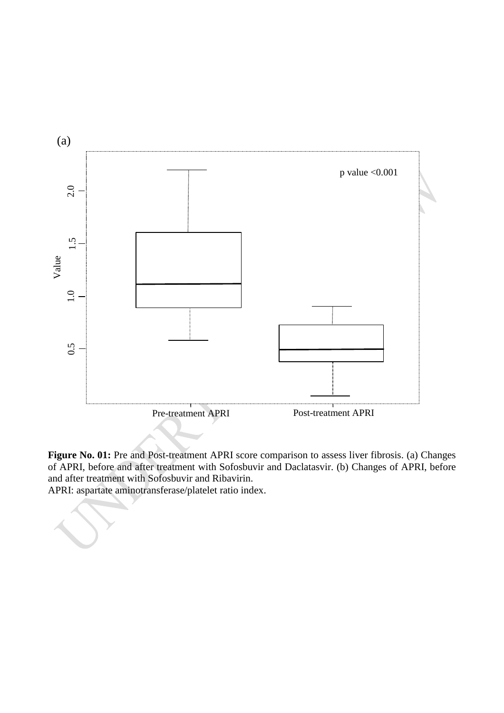

**Figure No. 01:** Pre and Post-treatment APRI score comparison to assess liver fibrosis. (a) Changes of APRI, before and after treatment with Sofosbuvir and Daclatasvir. (b) Changes of APRI, before and after treatment with Sofosbuvir and Ribavirin.

APRI: aspartate aminotransferase/platelet ratio index.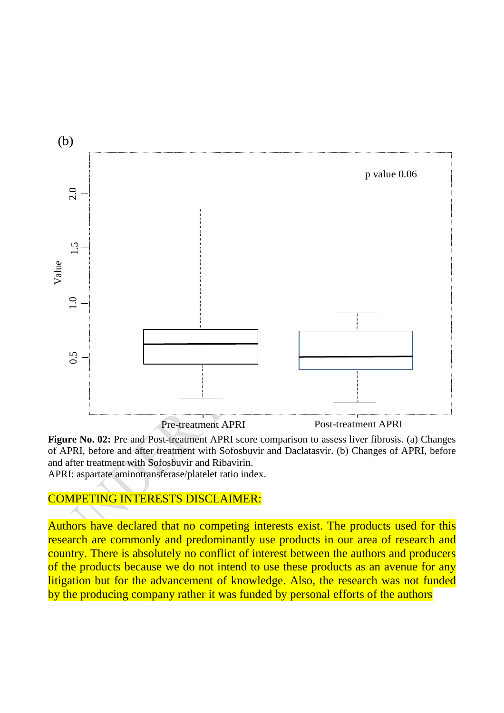

**Figure No. 02:** Pre and Post-treatment APRI score comparison to assess liver fibrosis. (a) Changes of APRI, before and after treatment with Sofosbuvir and Daclatasvir. (b) Changes of APRI, before and after treatment with Sofosbuvir and Ribavirin. APRI: aspartate aminotransferase/platelet ratio index.

## COMPETING INTERESTS DISCLAIMER:

Authors have declared that no competing interests exist. The products used for this research are commonly and predominantly use products in our area of research and country. There is absolutely no conflict of interest between the authors and producers of the products because we do not intend to use these products as an avenue for any litigation but for the advancement of knowledge. Also, the research was not funded by the producing company rather it was funded by personal efforts of the authors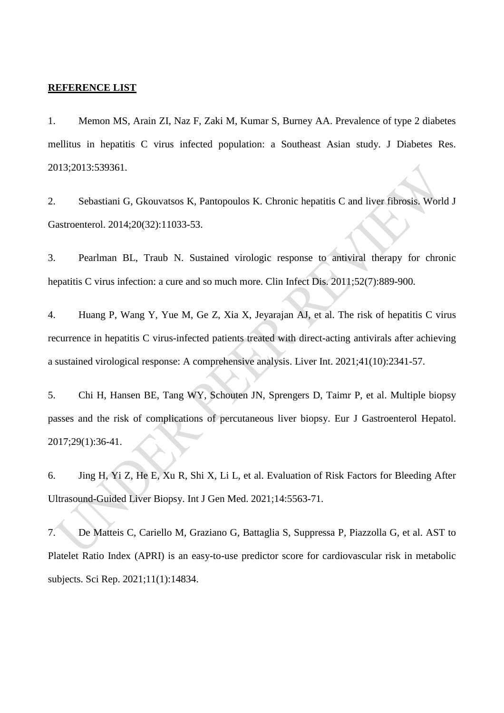#### **REFERENCE LIST**

1. Memon MS, Arain ZI, Naz F, Zaki M, Kumar S, Burney AA. Prevalence of type 2 diabetes mellitus in hepatitis C virus infected population: a Southeast Asian study. J Diabetes Res. 2013;2013:539361.

2. Sebastiani G, Gkouvatsos K, Pantopoulos K. Chronic hepatitis C and liver fibrosis. World J Gastroenterol. 2014;20(32):11033-53.

3. Pearlman BL, Traub N. Sustained virologic response to antiviral therapy for chronic hepatitis C virus infection: a cure and so much more. Clin Infect Dis. 2011;52(7):889-900.

4. Huang P, Wang Y, Yue M, Ge Z, Xia X, Jeyarajan AJ, et al. The risk of hepatitis C virus recurrence in hepatitis C virus-infected patients treated with direct-acting antivirals after achieving a sustained virological response: A comprehensive analysis. Liver Int. 2021;41(10):2341-57.

5. Chi H, Hansen BE, Tang WY, Schouten JN, Sprengers D, Taimr P, et al. Multiple biopsy passes and the risk of complications of percutaneous liver biopsy. Eur J Gastroenterol Hepatol. 2017;29(1):36-41.

6. Jing H, Yi Z, He E, Xu R, Shi X, Li L, et al. Evaluation of Risk Factors for Bleeding After Ultrasound-Guided Liver Biopsy. Int J Gen Med. 2021;14:5563-71.

7. De Matteis C, Cariello M, Graziano G, Battaglia S, Suppressa P, Piazzolla G, et al. AST to Platelet Ratio Index (APRI) is an easy-to-use predictor score for cardiovascular risk in metabolic subjects. Sci Rep. 2021;11(1):14834.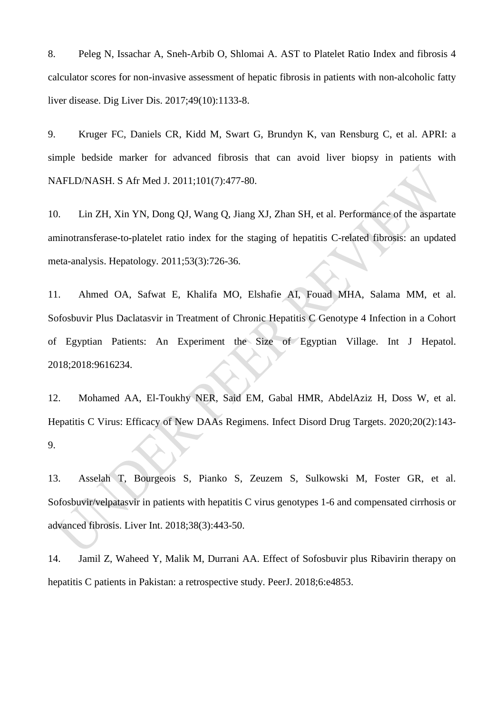8. Peleg N, Issachar A, Sneh-Arbib O, Shlomai A. AST to Platelet Ratio Index and fibrosis 4 calculator scores for non-invasive assessment of hepatic fibrosis in patients with non-alcoholic fatty liver disease. Dig Liver Dis. 2017;49(10):1133-8.

9. Kruger FC, Daniels CR, Kidd M, Swart G, Brundyn K, van Rensburg C, et al. APRI: a simple bedside marker for advanced fibrosis that can avoid liver biopsy in patients with NAFLD/NASH. S Afr Med J. 2011;101(7):477-80.

10. Lin ZH, Xin YN, Dong QJ, Wang Q, Jiang XJ, Zhan SH, et al. Performance of the aspartate aminotransferase-to-platelet ratio index for the staging of hepatitis C-related fibrosis: an updated meta-analysis. Hepatology. 2011;53(3):726-36.

11. Ahmed OA, Safwat E, Khalifa MO, Elshafie AI, Fouad MHA, Salama MM, et al. Sofosbuvir Plus Daclatasvir in Treatment of Chronic Hepatitis C Genotype 4 Infection in a Cohort of Egyptian Patients: An Experiment the Size of Egyptian Village. Int J Hepatol. 2018;2018:9616234.

12. Mohamed AA, El-Toukhy NER, Said EM, Gabal HMR, AbdelAziz H, Doss W, et al. Hepatitis C Virus: Efficacy of New DAAs Regimens. Infect Disord Drug Targets. 2020;20(2):143- 9.

13. Asselah T, Bourgeois S, Pianko S, Zeuzem S, Sulkowski M, Foster GR, et al. Sofosbuvir/velpatasvir in patients with hepatitis C virus genotypes 1-6 and compensated cirrhosis or advanced fibrosis. Liver Int. 2018;38(3):443-50.

14. Jamil Z, Waheed Y, Malik M, Durrani AA. Effect of Sofosbuvir plus Ribavirin therapy on hepatitis C patients in Pakistan: a retrospective study. PeerJ. 2018;6:e4853.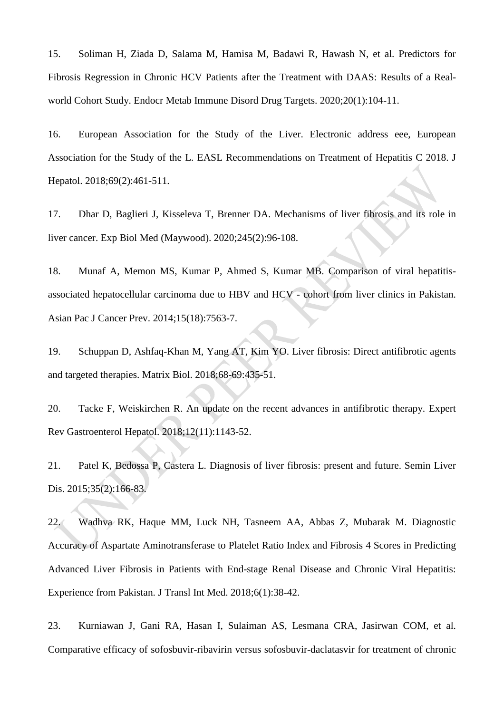15. Soliman H, Ziada D, Salama M, Hamisa M, Badawi R, Hawash N, et al. Predictors for Fibrosis Regression in Chronic HCV Patients after the Treatment with DAAS: Results of a Realworld Cohort Study. Endocr Metab Immune Disord Drug Targets. 2020;20(1):104-11.

16. European Association for the Study of the Liver. Electronic address eee, European Association for the Study of the L. EASL Recommendations on Treatment of Hepatitis C 2018. J Hepatol. 2018;69(2):461-511.

17. Dhar D, Baglieri J, Kisseleva T, Brenner DA. Mechanisms of liver fibrosis and its role in liver cancer. Exp Biol Med (Maywood). 2020;245(2):96-108.

18. Munaf A, Memon MS, Kumar P, Ahmed S, Kumar MB. Comparison of viral hepatitisassociated hepatocellular carcinoma due to HBV and HCV - cohort from liver clinics in Pakistan. Asian Pac J Cancer Prev. 2014;15(18):7563-7.

19. Schuppan D, Ashfaq-Khan M, Yang AT, Kim YO. Liver fibrosis: Direct antifibrotic agents and targeted therapies. Matrix Biol. 2018;68-69:435-51.

20. Tacke F, Weiskirchen R. An update on the recent advances in antifibrotic therapy. Expert Rev Gastroenterol Hepatol. 2018;12(11):1143-52.

21. Patel K, Bedossa P, Castera L. Diagnosis of liver fibrosis: present and future. Semin Liver Dis. 2015;35(2):166-83.

22. Wadhva RK, Haque MM, Luck NH, Tasneem AA, Abbas Z, Mubarak M. Diagnostic Accuracy of Aspartate Aminotransferase to Platelet Ratio Index and Fibrosis 4 Scores in Predicting Advanced Liver Fibrosis in Patients with End-stage Renal Disease and Chronic Viral Hepatitis: Experience from Pakistan. J Transl Int Med. 2018;6(1):38-42.

23. Kurniawan J, Gani RA, Hasan I, Sulaiman AS, Lesmana CRA, Jasirwan COM, et al. Comparative efficacy of sofosbuvir-ribavirin versus sofosbuvir-daclatasvir for treatment of chronic